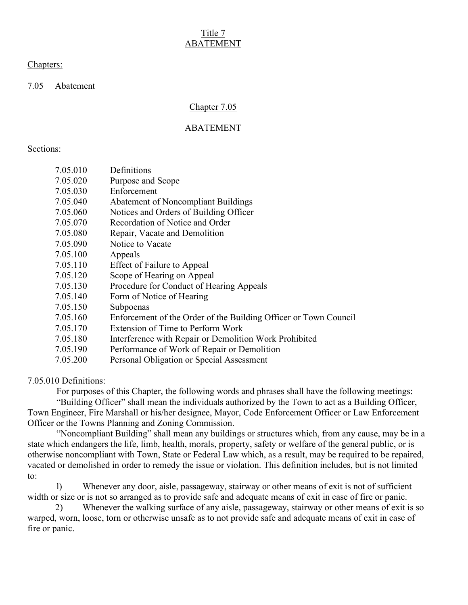# Title 7 ABATEMENT

### Chapters:

7.05 Abatement

# Chapter 7.05

# ABATEMENT

### Sections:

| 7.05.010 | Definitions                                                      |
|----------|------------------------------------------------------------------|
| 7.05.020 | Purpose and Scope                                                |
| 7.05.030 | Enforcement                                                      |
| 7.05.040 | <b>Abatement of Noncompliant Buildings</b>                       |
| 7.05.060 | Notices and Orders of Building Officer                           |
| 7.05.070 | Recordation of Notice and Order                                  |
| 7.05.080 | Repair, Vacate and Demolition                                    |
| 7.05.090 | Notice to Vacate                                                 |
| 7.05.100 | Appeals                                                          |
| 7.05.110 | Effect of Failure to Appeal                                      |
| 7.05.120 | Scope of Hearing on Appeal                                       |
| 7.05.130 | Procedure for Conduct of Hearing Appeals                         |
| 7.05.140 | Form of Notice of Hearing                                        |
| 7.05.150 | Subpoenas                                                        |
| 7.05.160 | Enforcement of the Order of the Building Officer or Town Council |
| 7.05.170 | Extension of Time to Perform Work                                |
| 7.05.180 | Interference with Repair or Demolition Work Prohibited           |
| 7.05.190 | Performance of Work of Repair or Demolition                      |
| 7.05.200 | Personal Obligation or Special Assessment                        |

7.05.010 Definitions:

For purposes of this Chapter, the following words and phrases shall have the following meetings:

 "Building Officer" shall mean the individuals authorized by the Town to act as a Building Officer, Town Engineer, Fire Marshall or his/her designee, Mayor, Code Enforcement Officer or Law Enforcement Officer or the Towns Planning and Zoning Commission.

 "Noncompliant Building" shall mean any buildings or structures which, from any cause, may be in a state which endangers the life, limb, health, morals, property, safety or welfare of the general public, or is otherwise noncompliant with Town, State or Federal Law which, as a result, may be required to be repaired, vacated or demolished in order to remedy the issue or violation. This definition includes, but is not limited to:

 l) Whenever any door, aisle, passageway, stairway or other means of exit is not of sufficient width or size or is not so arranged as to provide safe and adequate means of exit in case of fire or panic.

 2) Whenever the walking surface of any aisle, passageway, stairway or other means of exit is so warped, worn, loose, torn or otherwise unsafe as to not provide safe and adequate means of exit in case of fire or panic.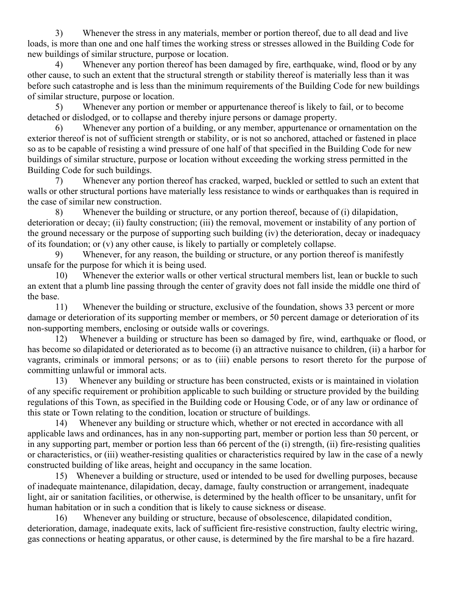3) Whenever the stress in any materials, member or portion thereof, due to all dead and live loads, is more than one and one half times the working stress or stresses allowed in the Building Code for new buildings of similar structure, purpose or location.

 4) Whenever any portion thereof has been damaged by fire, earthquake, wind, flood or by any other cause, to such an extent that the structural strength or stability thereof is materially less than it was before such catastrophe and is less than the minimum requirements of the Building Code for new buildings of similar structure, purpose or location.

 5) Whenever any portion or member or appurtenance thereof is likely to fail, or to become detached or dislodged, or to collapse and thereby injure persons or damage property.

 6) Whenever any portion of a building, or any member, appurtenance or ornamentation on the exterior thereof is not of sufficient strength or stability, or is not so anchored, attached or fastened in place so as to be capable of resisting a wind pressure of one half of that specified in the Building Code for new buildings of similar structure, purpose or location without exceeding the working stress permitted in the Building Code for such buildings.

 7) Whenever any portion thereof has cracked, warped, buckled or settled to such an extent that walls or other structural portions have materially less resistance to winds or earthquakes than is required in the case of similar new construction.

 8) Whenever the building or structure, or any portion thereof, because of (i) dilapidation, deterioration or decay; (ii) faulty construction; (iii) the removal, movement or instability of any portion of the ground necessary or the purpose of supporting such building (iv) the deterioration, decay or inadequacy of its foundation; or (v) any other cause, is likely to partially or completely collapse.

 9) Whenever, for any reason, the building or structure, or any portion thereof is manifestly unsafe for the purpose for which it is being used.

 10) Whenever the exterior walls or other vertical structural members list, lean or buckle to such an extent that a plumb line passing through the center of gravity does not fall inside the middle one third of the base.

 11) Whenever the building or structure, exclusive of the foundation, shows 33 percent or more damage or deterioration of its supporting member or members, or 50 percent damage or deterioration of its non-supporting members, enclosing or outside walls or coverings.

 12) Whenever a building or structure has been so damaged by fire, wind, earthquake or flood, or has become so dilapidated or deteriorated as to become (i) an attractive nuisance to children, (ii) a harbor for vagrants, criminals or immoral persons; or as to (iii) enable persons to resort thereto for the purpose of committing unlawful or immoral acts.

 13) Whenever any building or structure has been constructed, exists or is maintained in violation of any specific requirement or prohibition applicable to such building or structure provided by the building regulations of this Town, as specified in the Building code or Housing Code, or of any law or ordinance of this state or Town relating to the condition, location or structure of buildings.

 14) Whenever any building or structure which, whether or not erected in accordance with all applicable laws and ordinances, has in any non-supporting part, member or portion less than 50 percent, or in any supporting part, member or portion less than 66 percent of the (i) strength, (ii) fire-resisting qualities or characteristics, or (iii) weather-resisting qualities or characteristics required by law in the case of a newly constructed building of like areas, height and occupancy in the same location.

 15) Whenever a building or structure, used or intended to be used for dwelling purposes, because of inadequate maintenance, dilapidation, decay, damage, faulty construction or arrangement, inadequate light, air or sanitation facilities, or otherwise, is determined by the health officer to be unsanitary, unfit for human habitation or in such a condition that is likely to cause sickness or disease.

 16) Whenever any building or structure, because of obsolescence, dilapidated condition, deterioration, damage, inadequate exits, lack of sufficient fire-resistive construction, faulty electric wiring, gas connections or heating apparatus, or other cause, is determined by the fire marshal to be a fire hazard.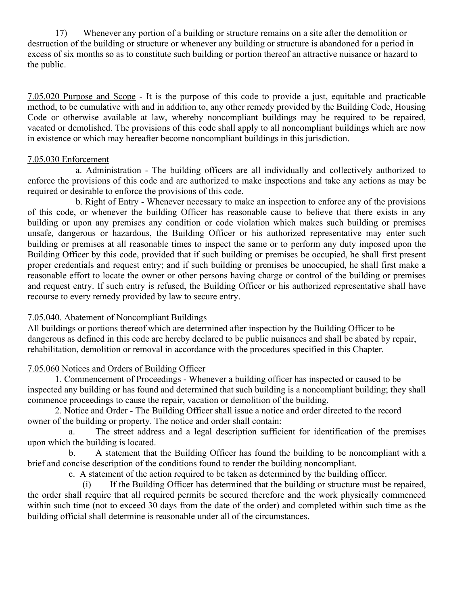17) Whenever any portion of a building or structure remains on a site after the demolition or destruction of the building or structure or whenever any building or structure is abandoned for a period in excess of six months so as to constitute such building or portion thereof an attractive nuisance or hazard to the public.

7.05.020 Purpose and Scope - It is the purpose of this code to provide a just, equitable and practicable method, to be cumulative with and in addition to, any other remedy provided by the Building Code, Housing Code or otherwise available at law, whereby noncompliant buildings may be required to be repaired, vacated or demolished. The provisions of this code shall apply to all noncompliant buildings which are now in existence or which may hereafter become noncompliant buildings in this jurisdiction.

#### 7.05.030 Enforcement

 a. Administration - The building officers are all individually and collectively authorized to enforce the provisions of this code and are authorized to make inspections and take any actions as may be required or desirable to enforce the provisions of this code.

 b. Right of Entry - Whenever necessary to make an inspection to enforce any of the provisions of this code, or whenever the building Officer has reasonable cause to believe that there exists in any building or upon any premises any condition or code violation which makes such building or premises unsafe, dangerous or hazardous, the Building Officer or his authorized representative may enter such building or premises at all reasonable times to inspect the same or to perform any duty imposed upon the Building Officer by this code, provided that if such building or premises be occupied, he shall first present proper credentials and request entry; and if such building or premises be unoccupied, he shall first make a reasonable effort to locate the owner or other persons having charge or control of the building or premises and request entry. If such entry is refused, the Building Officer or his authorized representative shall have recourse to every remedy provided by law to secure entry.

#### 7.05.040. Abatement of Noncompliant Buildings

All buildings or portions thereof which are determined after inspection by the Building Officer to be dangerous as defined in this code are hereby declared to be public nuisances and shall be abated by repair, rehabilitation, demolition or removal in accordance with the procedures specified in this Chapter.

#### 7.05.060 Notices and Orders of Building Officer

 1. Commencement of Proceedings - Whenever a building officer has inspected or caused to be inspected any building or has found and determined that such building is a noncompliant building; they shall commence proceedings to cause the repair, vacation or demolition of the building.

 2. Notice and Order - The Building Officer shall issue a notice and order directed to the record owner of the building or property. The notice and order shall contain:

 a. The street address and a legal description sufficient for identification of the premises upon which the building is located.

 b. A statement that the Building Officer has found the building to be noncompliant with a brief and concise description of the conditions found to render the building noncompliant.

c. A statement of the action required to be taken as determined by the building officer.

 (i) If the Building Officer has determined that the building or structure must be repaired, the order shall require that all required permits be secured therefore and the work physically commenced within such time (not to exceed 30 days from the date of the order) and completed within such time as the building official shall determine is reasonable under all of the circumstances.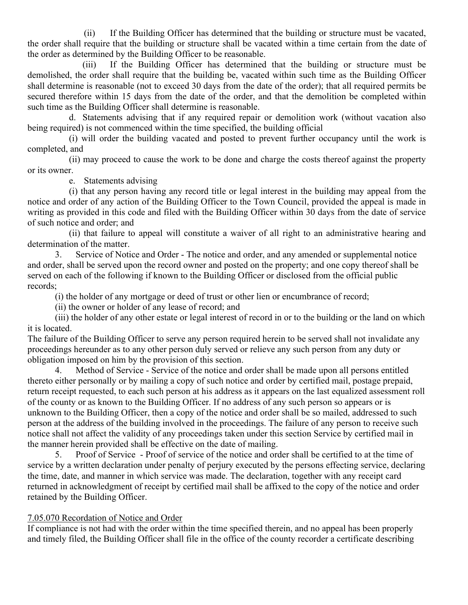(ii) If the Building Officer has determined that the building or structure must be vacated, the order shall require that the building or structure shall be vacated within a time certain from the date of the order as determined by the Building Officer to be reasonable.

 (iii) If the Building Officer has determined that the building or structure must be demolished, the order shall require that the building be, vacated within such time as the Building Officer shall determine is reasonable (not to exceed 30 days from the date of the order); that all required permits be secured therefore within 15 days from the date of the order, and that the demolition be completed within such time as the Building Officer shall determine is reasonable.

 d. Statements advising that if any required repair or demolition work (without vacation also being required) is not commenced within the time specified, the building official

 (i) will order the building vacated and posted to prevent further occupancy until the work is completed, and

 (ii) may proceed to cause the work to be done and charge the costs thereof against the property or its owner.

e. Statements advising

 (i) that any person having any record title or legal interest in the building may appeal from the notice and order of any action of the Building Officer to the Town Council, provided the appeal is made in writing as provided in this code and filed with the Building Officer within 30 days from the date of service of such notice and order; and

 (ii) that failure to appeal will constitute a waiver of all right to an administrative hearing and determination of the matter.

 3. Service of Notice and Order - The notice and order, and any amended or supplemental notice and order, shall be served upon the record owner and posted on the property; and one copy thereof shall be served on each of the following if known to the Building Officer or disclosed from the official public records;

(i) the holder of any mortgage or deed of trust or other lien or encumbrance of record;

(ii) the owner or holder of any lease of record; and

 (iii) the holder of any other estate or legal interest of record in or to the building or the land on which it is located.

The failure of the Building Officer to serve any person required herein to be served shall not invalidate any proceedings hereunder as to any other person duly served or relieve any such person from any duty or obligation imposed on him by the provision of this section.

 4. Method of Service - Service of the notice and order shall be made upon all persons entitled thereto either personally or by mailing a copy of such notice and order by certified mail, postage prepaid, return receipt requested, to each such person at his address as it appears on the last equalized assessment roll of the county or as known to the Building Officer. If no address of any such person so appears or is unknown to the Building Officer, then a copy of the notice and order shall be so mailed, addressed to such person at the address of the building involved in the proceedings. The failure of any person to receive such notice shall not affect the validity of any proceedings taken under this section Service by certified mail in the manner herein provided shall be effective on the date of mailing.

 5. Proof of Service - Proof of service of the notice and order shall be certified to at the time of service by a written declaration under penalty of perjury executed by the persons effecting service, declaring the time, date, and manner in which service was made. The declaration, together with any receipt card returned in acknowledgment of receipt by certified mail shall be affixed to the copy of the notice and order retained by the Building Officer.

#### 7.05.070 Recordation of Notice and Order

If compliance is not had with the order within the time specified therein, and no appeal has been properly and timely filed, the Building Officer shall file in the office of the county recorder a certificate describing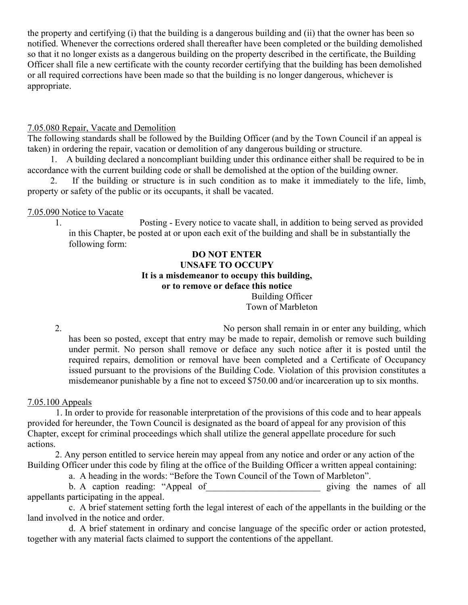the property and certifying (i) that the building is a dangerous building and (ii) that the owner has been so notified. Whenever the corrections ordered shall thereafter have been completed or the building demolished so that it no longer exists as a dangerous building on the property described in the certificate, the Building Officer shall file a new certificate with the county recorder certifying that the building has been demolished or all required corrections have been made so that the building is no longer dangerous, whichever is appropriate.

#### 7.05.080 Repair, Vacate and Demolition

The following standards shall be followed by the Building Officer (and by the Town Council if an appeal is taken) in ordering the repair, vacation or demolition of any dangerous building or structure.

 1. A building declared a noncompliant building under this ordinance either shall be required to be in accordance with the current building code or shall be demolished at the option of the building owner.

 2. If the building or structure is in such condition as to make it immediately to the life, limb, property or safety of the public or its occupants, it shall be vacated.

# 7.05.090 Notice to Vacate

1. Posting - Every notice to vacate shall, in addition to being served as provided in this Chapter, be posted at or upon each exit of the building and shall be in substantially the following form:

# DO NOT ENTER UNSAFE TO OCCUPY It is a misdemeanor to occupy this building, or to remove or deface this notice

Building Officer Town of Marbleton

2. No person shall remain in or enter any building, which has been so posted, except that entry may be made to repair, demolish or remove such building under permit. No person shall remove or deface any such notice after it is posted until the required repairs, demolition or removal have been completed and a Certificate of Occupancy issued pursuant to the provisions of the Building Code. Violation of this provision constitutes a misdemeanor punishable by a fine not to exceed \$750.00 and/or incarceration up to six months.

# 7.05.100 Appeals

 1. In order to provide for reasonable interpretation of the provisions of this code and to hear appeals provided for hereunder, the Town Council is designated as the board of appeal for any provision of this Chapter, except for criminal proceedings which shall utilize the general appellate procedure for such actions.

 2. Any person entitled to service herein may appeal from any notice and order or any action of the Building Officer under this code by filing at the office of the Building Officer a written appeal containing:

a. A heading in the words: "Before the Town Council of the Town of Marbleton".

b. A caption reading: "Appeal of example and positivity properties all properties of all behavior of all behavior of all behavior of all behavior of all behavior of all behavior of all behavior of all behavior of all behav appellants participating in the appeal.

 c. A brief statement setting forth the legal interest of each of the appellants in the building or the land involved in the notice and order.

 d. A brief statement in ordinary and concise language of the specific order or action protested, together with any material facts claimed to support the contentions of the appellant.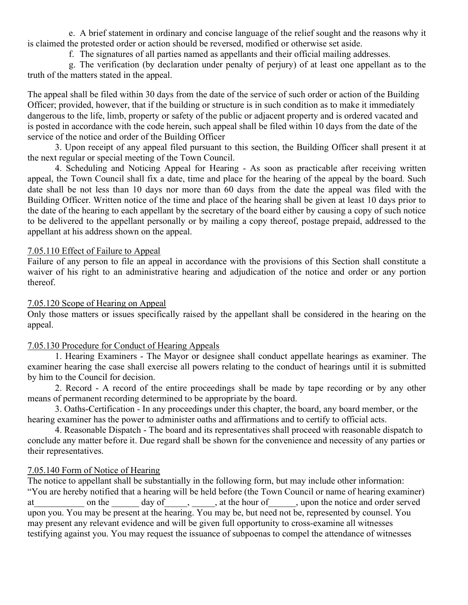e. A brief statement in ordinary and concise language of the relief sought and the reasons why it is claimed the protested order or action should be reversed, modified or otherwise set aside.

f. The signatures of all parties named as appellants and their official mailing addresses.

 g. The verification (by declaration under penalty of perjury) of at least one appellant as to the truth of the matters stated in the appeal.

The appeal shall be filed within 30 days from the date of the service of such order or action of the Building Officer; provided, however, that if the building or structure is in such condition as to make it immediately dangerous to the life, limb, property or safety of the public or adjacent property and is ordered vacated and is posted in accordance with the code herein, such appeal shall be filed within 10 days from the date of the service of the notice and order of the Building Officer

 3. Upon receipt of any appeal filed pursuant to this section, the Building Officer shall present it at the next regular or special meeting of the Town Council.

 4. Scheduling and Noticing Appeal for Hearing - As soon as practicable after receiving written appeal, the Town Council shall fix a date, time and place for the hearing of the appeal by the board. Such date shall be not less than 10 days nor more than 60 days from the date the appeal was filed with the Building Officer. Written notice of the time and place of the hearing shall be given at least 10 days prior to the date of the hearing to each appellant by the secretary of the board either by causing a copy of such notice to be delivered to the appellant personally or by mailing a copy thereof, postage prepaid, addressed to the appellant at his address shown on the appeal.

# 7.05.110 Effect of Failure to Appeal

Failure of any person to file an appeal in accordance with the provisions of this Section shall constitute a waiver of his right to an administrative hearing and adjudication of the notice and order or any portion thereof.

#### 7.05.120 Scope of Hearing on Appeal

Only those matters or issues specifically raised by the appellant shall be considered in the hearing on the appeal.

# 7.05.130 Procedure for Conduct of Hearing Appeals

 1. Hearing Examiners - The Mayor or designee shall conduct appellate hearings as examiner. The examiner hearing the case shall exercise all powers relating to the conduct of hearings until it is submitted by him to the Council for decision.

 2. Record - A record of the entire proceedings shall be made by tape recording or by any other means of permanent recording determined to be appropriate by the board.

 3. Oaths-Certification - In any proceedings under this chapter, the board, any board member, or the hearing examiner has the power to administer oaths and affirmations and to certify to official acts.

 4. Reasonable Dispatch - The board and its representatives shall proceed with reasonable dispatch to conclude any matter before it. Due regard shall be shown for the convenience and necessity of any parties or their representatives.

# 7.05.140 Form of Notice of Hearing

The notice to appellant shall be substantially in the following form, but may include other information: "You are hereby notified that a hearing will be held before (the Town Council or name of hearing examiner) at at all on the day of , the hour of , upon the notice and order served upon you. You may be present at the hearing. You may be, but need not be, represented by counsel. You may present any relevant evidence and will be given full opportunity to cross-examine all witnesses testifying against you. You may request the issuance of subpoenas to compel the attendance of witnesses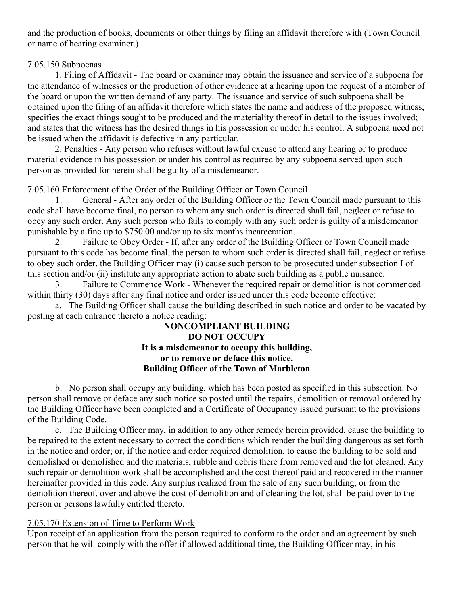and the production of books, documents or other things by filing an affidavit therefore with (Town Council or name of hearing examiner.)

### 7.05.150 Subpoenas

 1. Filing of Affidavit - The board or examiner may obtain the issuance and service of a subpoena for the attendance of witnesses or the production of other evidence at a hearing upon the request of a member of the board or upon the written demand of any party. The issuance and service of such subpoena shall be obtained upon the filing of an affidavit therefore which states the name and address of the proposed witness; specifies the exact things sought to be produced and the materiality thereof in detail to the issues involved; and states that the witness has the desired things in his possession or under his control. A subpoena need not be issued when the affidavit is defective in any particular.

 2. Penalties - Any person who refuses without lawful excuse to attend any hearing or to produce material evidence in his possession or under his control as required by any subpoena served upon such person as provided for herein shall be guilty of a misdemeanor.

# 7.05.160 Enforcement of the Order of the Building Officer or Town Council

 1. General - After any order of the Building Officer or the Town Council made pursuant to this code shall have become final, no person to whom any such order is directed shall fail, neglect or refuse to obey any such order. Any such person who fails to comply with any such order is guilty of a misdemeanor punishable by a fine up to \$750.00 and/or up to six months incarceration.

 2. Failure to Obey Order - If, after any order of the Building Officer or Town Council made pursuant to this code has become final, the person to whom such order is directed shall fail, neglect or refuse to obey such order, the Building Officer may (i) cause such person to be prosecuted under subsection I of this section and/or (ii) institute any appropriate action to abate such building as a public nuisance.

 3. Failure to Commence Work - Whenever the required repair or demolition is not commenced within thirty (30) days after any final notice and order issued under this code become effective:

 a. The Building Officer shall cause the building described in such notice and order to be vacated by posting at each entrance thereto a notice reading:

### NONCOMPLIANT BUILDING DO NOT OCCUPY It is a misdemeanor to occupy this building, or to remove or deface this notice. Building Officer of the Town of Marbleton

 b. No person shall occupy any building, which has been posted as specified in this subsection. No person shall remove or deface any such notice so posted until the repairs, demolition or removal ordered by the Building Officer have been completed and a Certificate of Occupancy issued pursuant to the provisions of the Building Code.

 c. The Building Officer may, in addition to any other remedy herein provided, cause the building to be repaired to the extent necessary to correct the conditions which render the building dangerous as set forth in the notice and order; or, if the notice and order required demolition, to cause the building to be sold and demolished or demolished and the materials, rubble and debris there from removed and the lot cleaned. Any such repair or demolition work shall be accomplished and the cost thereof paid and recovered in the manner hereinafter provided in this code. Any surplus realized from the sale of any such building, or from the demolition thereof, over and above the cost of demolition and of cleaning the lot, shall be paid over to the person or persons lawfully entitled thereto.

# 7.05.170 Extension of Time to Perform Work

Upon receipt of an application from the person required to conform to the order and an agreement by such person that he will comply with the offer if allowed additional time, the Building Officer may, in his